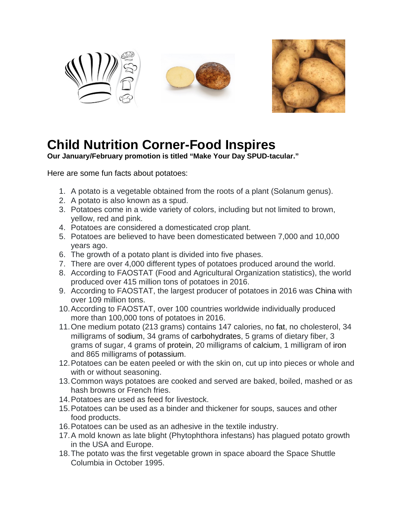





## **Child Nutrition Corner-Food Inspires**

**Our January/February promotion is titled "Make Your Day SPUD-tacular."**

Here are some fun facts about potatoes:

- 1. A potato is a vegetable obtained from the roots of a plant (Solanum genus).
- 2. A potato is also known as a spud.
- 3. Potatoes come in a wide variety of colors, including but not limited to brown, yellow, red and pink.
- 4. Potatoes are considered a domesticated crop plant.
- 5. Potatoes are believed to have been domesticated between 7,000 and 10,000 years ago.
- 6. The growth of a potato plant is divided into five phases.
- 7. There are over 4,000 different types of potatoes produced around the world.
- 8. According to FAOSTAT (Food and Agricultural Organization statistics), the world produced over 415 million tons of potatoes in 2016.
- 9. According to FAOSTAT, the largest producer of potatoes in 2016 was China with over 109 million tons.
- 10.According to FAOSTAT, over 100 countries worldwide individually produced more than 100,000 tons of potatoes in 2016.
- 11.One medium potato (213 grams) contains 147 calories, no fat, no cholesterol, 34 milligrams of sodium, 34 grams of carbohydrates, 5 grams of dietary fiber, 3 grams of sugar, 4 grams of protein, 20 milligrams of calcium, 1 milligram of iron and 865 milligrams of potassium.
- 12.Potatoes can be eaten peeled or with the skin on, cut up into pieces or whole and with or without seasoning.
- 13.Common ways potatoes are cooked and served are baked, boiled, mashed or as hash browns or French fries.
- 14.Potatoes are used as feed for livestock.
- 15.Potatoes can be used as a binder and thickener for soups, sauces and other food products.
- 16.Potatoes can be used as an adhesive in the textile industry.
- 17.A mold known as late blight (Phytophthora infestans) has plagued potato growth in the USA and Europe.
- 18.The potato was the first vegetable grown in space aboard the Space Shuttle Columbia in October 1995.